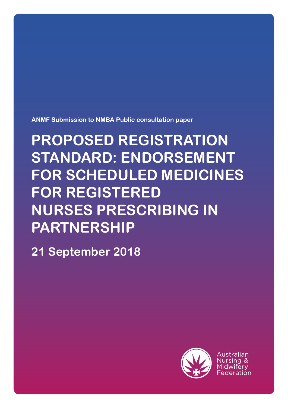**ANMF Submission to NMBA Public consultation paper**

# **PROPOSED REGISTRATION STANDARD: ENDORSEMENT FOR SCHEDULED MEDICINES FOR REGISTERED NURSES PRESCRIBING IN PARTNERSHIP**

**21 September 2018**



Australian Nursina & Midwiferv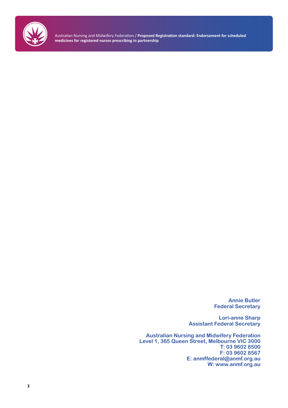

> **Annie Butler Federal Secretary**

**Lori-anne Sharp Assistant Federal Secretary**

**Australian Nursing and Midwifery Federation Level 1, 365 Queen Street, Melbourne VIC 3000 T: 03 9602 8500 F: 03 9602 8567 E: anmffederal@anmf.org.au W: www.anmf.org.au**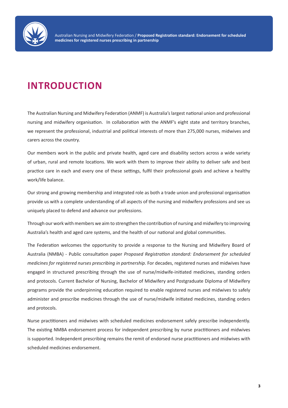

# **INTRODUCTION**

The Australian Nursing and Midwifery Federation (ANMF) is Australia's largest national union and professional nursing and midwifery organisation. In collaboration with the ANMF's eight state and territory branches, we represent the professional, industrial and political interests of more than 275,000 nurses, midwives and carers across the country.

Our members work in the public and private health, aged care and disability sectors across a wide variety of urban, rural and remote locations. We work with them to improve their ability to deliver safe and best practice care in each and every one of these settings, fulfil their professional goals and achieve a healthy work/life balance.

Our strong and growing membership and integrated role as both a trade union and professional organisation provide us with a complete understanding of all aspects of the nursing and midwifery professions and see us uniquely placed to defend and advance our professions.

Through our work with members we aim to strengthen the contribution of nursing and midwifery to improving Australia's health and aged care systems, and the health of our national and global communities.

The Federation welcomes the opportunity to provide a response to the Nursing and Midwifery Board of Australia (NMBA) - Public consultation paper *Proposed Registration standard: Endorsement for scheduled medicines for registered nurses prescribing in partnership*. For decades, registered nurses and midwives have engaged in structured prescribing through the use of nurse/midwife-initiated medicines, standing orders and protocols. Current Bachelor of Nursing, Bachelor of Midwifery and Postgraduate Diploma of Midwifery programs provide the underpinning education required to enable registered nurses and midwives to safely administer and prescribe medicines through the use of nurse/midwife initiated medicines, standing orders and protocols.

Nurse practitioners and midwives with scheduled medicines endorsement safely prescribe independently. The existing NMBA endorsement process for independent prescribing by nurse practitioners and midwives is supported. Independent prescribing remains the remit of endorsed nurse practitioners and midwives with scheduled medicines endorsement.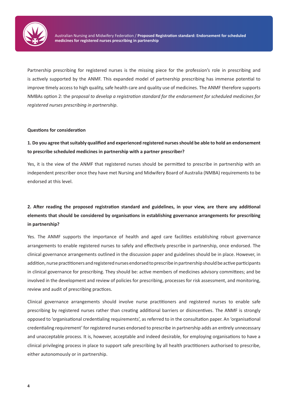

Partnership prescribing for registered nurses is the missing piece for the profession's role in prescribing and is actively supported by the ANMF. This expanded model of partnership prescribing has immense potential to improve timely access to high quality, safe health care and quality use of medicines. The ANMF therefore supports NMBAs option 2: the p*roposal to develop a registration standard for the endorsement for scheduled medicines for registered nurses prescribing in partnership*.

#### **Questions for consideration**

#### **1. Do you agree that suitably qualified and experienced registered nurses should be able to hold an endorsement to prescribe scheduled medicines in partnership with a partner prescriber?**

Yes, it is the view of the ANMF that registered nurses should be permitted to prescribe in partnership with an independent prescriber once they have met Nursing and Midwifery Board of Australia (NMBA) requirements to be endorsed at this level.

# **2. After reading the proposed registration standard and guidelines, in your view, are there any additional elements that should be considered by organisations in establishing governance arrangements for prescribing in partnership?**

Yes. The ANMF supports the importance of health and aged care facilities establishing robust governance arrangements to enable registered nurses to safely and effectively prescribe in partnership, once endorsed. The clinical governance arrangements outlined in the discussion paper and guidelines should be in place. However, in addition, nurse practitioners and registered nurses endorsed to prescribe in partnership should be active participants in clinical governance for prescribing. They should be: active members of medicines advisory committees; and be involved in the development and review of policies for prescribing, processes for risk assessment, and monitoring, review and audit of prescribing practices.

Clinical governance arrangements should involve nurse practitioners and registered nurses to enable safe prescribing by registered nurses rather than creating additional barriers or disincentives. The ANMF is strongly opposed to 'organisational credentialing requirements', as referred to in the consultation paper. An 'organisational credentialing requirement' for registered nurses endorsed to prescribe in partnership adds an entirely unnecessary and unacceptable process. It is, however, acceptable and indeed desirable, for employing organisations to have a clinical privileging process in place to support safe prescribing by all health practitioners authorised to prescribe, either autonomously or in partnership.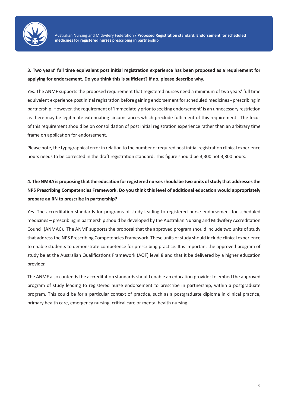

## **3. Two years' full time equivalent post initial registration experience has been proposed as a requirement for applying for endorsement. Do you think this is sufficient? If no, please describe why.**

Yes. The ANMF supports the proposed requirement that registered nurses need a minimum of two years' full time equivalent experience post initial registration before gaining endorsement for scheduled medicines - prescribing in partnership. However, the requirement of 'immediately prior to seeking endorsement' is an unnecessary restriction as there may be legitimate extenuating circumstances which preclude fulfilment of this requirement. The focus of this requirement should be on consolidation of post initial registration experience rather than an arbitrary time frame on application for endorsement.

Please note, the typographical error in relation to the number of required post initial registration clinical experience hours needs to be corrected in the draft registration standard. This figure should be 3,300 not 3,800 hours.

# **4. The NMBA is proposing that the education for registered nurses should be two units of study that addresses the NPS Prescribing Competencies Framework. Do you think this level of additional education would appropriately prepare an RN to prescribe in partnership?**

Yes. The accreditation standards for programs of study leading to registered nurse endorsement for scheduled medicines – prescribing in partnership should be developed by the Australian Nursing and Midwifery Accreditation Council (ANMAC). The ANMF supports the proposal that the approved program should include two units of study that address the NPS Prescribing Competencies Framework. These units of study should include clinical experience to enable students to demonstrate competence for prescribing practice. It is important the approved program of study be at the Australian Qualifications Framework (AQF) level 8 and that it be delivered by a higher education provider.

The ANMF also contends the accreditation standards should enable an education provider to embed the approved program of study leading to registered nurse endorsement to prescribe in partnership, within a postgraduate program. This could be for a particular context of practice, such as a postgraduate diploma in clinical practice, primary health care, emergency nursing, critical care or mental health nursing.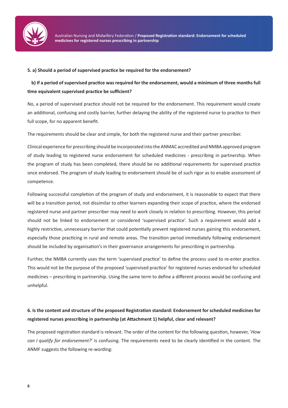

#### **5. a) Should a period of supervised practice be required for the endorsement?**

## **b) If a period of supervised practice was required for the endorsement, would a minimum of three months full time equivalent supervised practice be sufficient?**

No, a period of supervised practice should not be required for the endorsement. This requirement would create an additional, confusing and costly barrier, further delaying the ability of the registered nurse to practice to their full scope, for no apparent benefit.

The requirements should be clear and simple, for both the registered nurse and their partner prescriber.

Clinical experience for prescribing should be incorporated into the ANMAC accredited and NMBA approved program of study leading to registered nurse endorsement for scheduled medicines - prescribing in partnership. When the program of study has been completed, there should be no additional requirements for supervised practice once endorsed. The program of study leading to endorsement should be of such rigor as to enable assessment of competence.

Following successful completion of the program of study and endorsement, it is reasonable to expect that there will be a transition period, not dissimilar to other learners expanding their scope of practice, where the endorsed registered nurse and partner prescriber may need to work closely in relation to prescribing. However, this period should not be linked to endorsement or considered 'supervised practice'. Such a requirement would add a highly restrictive, unnecessary barrier that could potentially prevent registered nurses gaining this endorsement, especially those practicing in rural and remote areas. The transition period immediately following endorsement should be included by organisation's in their governance arrangements for prescribing in partnership.

Further, the NMBA currently uses the term 'supervised practice' to define the process used to re-enter practice. This would not be the purpose of the proposed 'supervised practice' for registered nurses endorsed for scheduled medicines – prescribing in partnership. Using the same term to define a different process would be confusing and unhelpful.

# **6. Is the content and structure of the proposed Registration standard: Endorsement for scheduled medicines for registered nurses prescribing in partnership (at Attachment 1) helpful, clear and relevant?**

The proposed registration standard is relevant. The order of the content for the following question, however, '*How can I qualify for endorsement?*' is confusing. The requirements need to be clearly identified in the content. The ANMF suggests the following re-wording: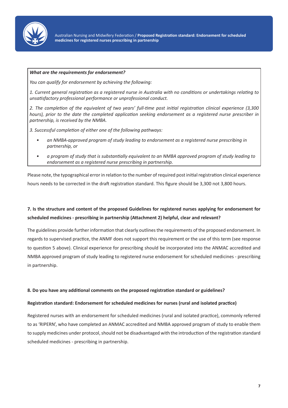

#### *What are the requirements for endorsement?*

*You can qualify for endorsement by achieving the following:* 

*1. Current general registration as a registered nurse in Australia with no conditions or undertakings relating to unsatisfactory professional performance or unprofessional conduct.* 

*2. The completion of the equivalent of two years' full-time post initial registration clinical experience (3,300 hours), prior to the date the completed application seeking endorsement as a registered nurse prescriber in partnership, is received by the NMBA.* 

*3. Successful completion of either one of the following pathways:* 

- *• an NMBA-approved program of study leading to endorsement as a registered nurse prescribing in partnership, or*
- *• a program of study that is substantially equivalent to an NMBA approved program of study leading to endorsement as a registered nurse prescribing in partnership.*

Please note, the typographical error in relation to the number of required post initial registration clinical experience hours needs to be corrected in the draft registration standard. This figure should be 3,300 not 3,800 hours.

#### **7. Is the structure and content of the proposed Guidelines for registered nurses applying for endorsement for scheduled medicines - prescribing in partnership (Attachment 2) helpful, clear and relevant?**

The guidelines provide further information that clearly outlines the requirements of the proposed endorsement. In regards to supervised practice, the ANMF does not support this requirement or the use of this term (see response to question 5 above). Clinical experience for prescribing should be incorporated into the ANMAC accredited and NMBA approved program of study leading to registered nurse endorsement for scheduled medicines - prescribing in partnership.

#### **8. Do you have any additional comments on the proposed registration standard or guidelines?**

#### **Registration standard: Endorsement for scheduled medicines for nurses (rural and isolated practice)**

Registered nurses with an endorsement for scheduled medicines (rural and isolated practice), commonly referred to as 'RIPERN', who have completed an ANMAC accredited and NMBA approved program of study to enable them to supply medicines under protocol, should not be disadvantaged with the introduction of the registration standard scheduled medicines - prescribing in partnership.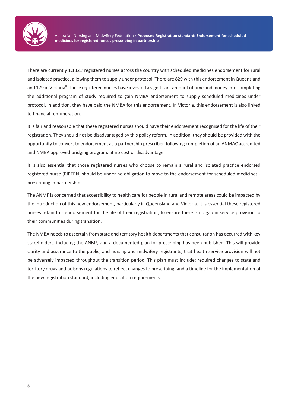

There are currently 1,1321<sup>i</sup> registered nurses across the country with scheduled medicines endorsement for rural and isolated practice, allowing them to supply under protocol. There are 829 with this endorsement in Queensland and 179 in Victoria<sup>ii</sup>. These registered nurses have invested a significant amount of time and money into completing the additional program of study required to gain NMBA endorsement to supply scheduled medicines under protocol. In addition, they have paid the NMBA for this endorsement. In Victoria, this endorsement is also linked to financial remuneration.

It is fair and reasonable that these registered nurses should have their endorsement recognised for the life of their registration. They should not be disadvantaged by this policy reform. In addition, they should be provided with the opportunity to convert to endorsement as a partnership prescriber, following completion of an ANMAC accredited and NMBA approved bridging program, at no cost or disadvantage.

It is also essential that those registered nurses who choose to remain a rural and isolated practice endorsed registered nurse (RIPERN) should be under no obligation to move to the endorsement for scheduled medicines prescribing in partnership.

The ANMF is concerned that accessibility to health care for people in rural and remote areas could be impacted by the introduction of this new endorsement, particularly in Queensland and Victoria. It is essential these registered nurses retain this endorsement for the life of their registration, to ensure there is no gap in service provision to their communities during transition.

The NMBA needs to ascertain from state and territory health departments that consultation has occurred with key stakeholders, including the ANMF, and a documented plan for prescribing has been published. This will provide clarity and assurance to the public, and nursing and midwifery registrants, that health service provision will not be adversely impacted throughout the transition period. This plan must include: required changes to state and territory drugs and poisons regulations to reflect changes to prescribing; and a timeline for the implementation of the new registration standard, including education requirements.